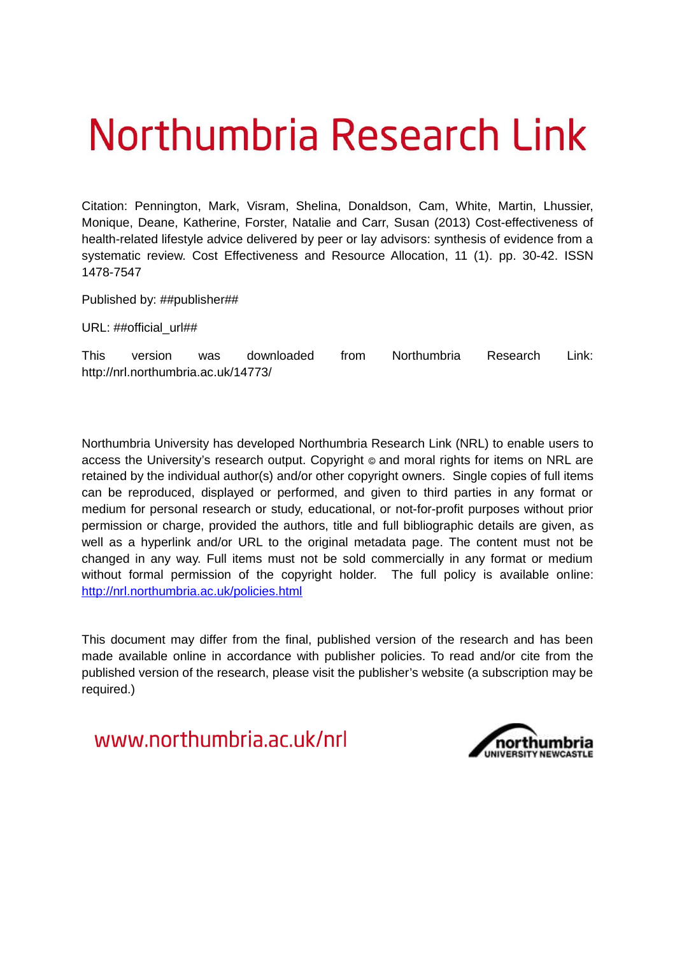# Northumbria Research Link

Citation: Pennington, Mark, Visram, Shelina, Donaldson, Cam, White, Martin, Lhussier, Monique, Deane, Katherine, Forster, Natalie and Carr, Susan (2013) Cost-effectiveness of health-related lifestyle advice delivered by peer or lay advisors: synthesis of evidence from a systematic review. Cost Effectiveness and Resource Allocation, 11 (1). pp. 30-42. ISSN 1478-7547

Published by: ##publisher##

URL: ##official\_url##

This version was downloaded from Northumbria Research Link: http://nrl.northumbria.ac.uk/14773/

Northumbria University has developed Northumbria Research Link (NRL) to enable users to access the University's research output. Copyright  $\circ$  and moral rights for items on NRL are retained by the individual author(s) and/or other copyright owners. Single copies of full items can be reproduced, displayed or performed, and given to third parties in any format or medium for personal research or study, educational, or not-for-profit purposes without prior permission or charge, provided the authors, title and full bibliographic details are given, as well as a hyperlink and/or URL to the original metadata page. The content must not be changed in any way. Full items must not be sold commercially in any format or medium without formal permission of the copyright holder. The full policy is available online: <http://nrl.northumbria.ac.uk/policies.html>

This document may differ from the final, published version of the research and has been made available online in accordance with publisher policies. To read and/or cite from the published version of the research, please visit the publisher's website (a subscription may be required.)

www.northumbria.ac.uk/nrl

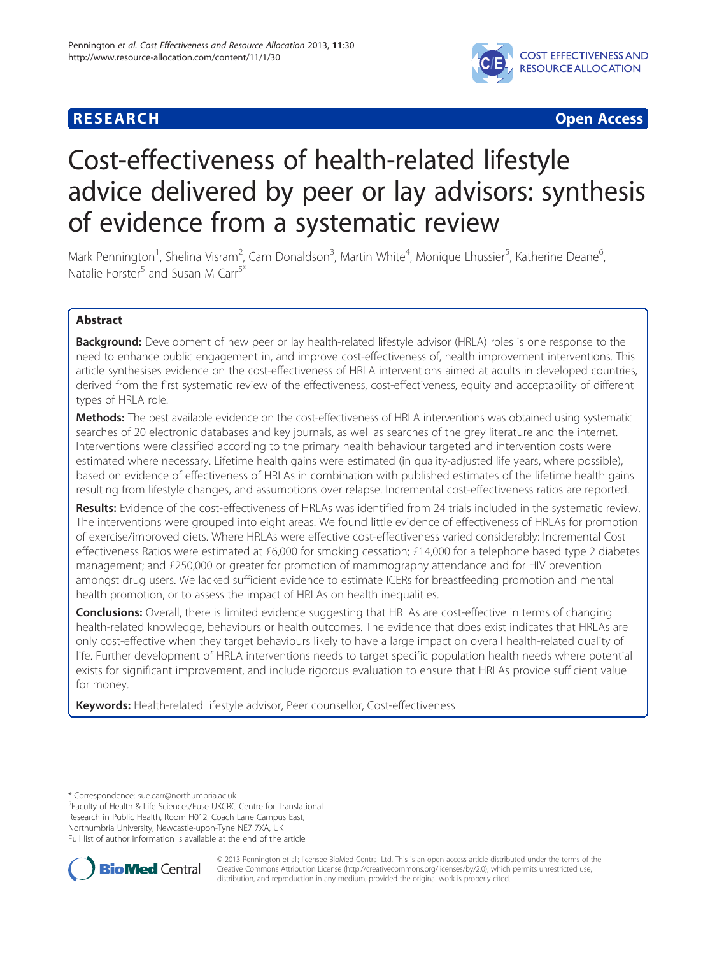### **RESEARCH CHINESE ARCH CHINESE ARCH CHINESE ARCH <b>CHINESE ARCH**



## Cost-effectiveness of health-related lifestyle advice delivered by peer or lay advisors: synthesis of evidence from a systematic review

Mark Pennington<sup>1</sup>, Shelina Visram<sup>2</sup>, Cam Donaldson<sup>3</sup>, Martin White<sup>4</sup>, Monique Lhussier<sup>5</sup>, Katherine Deane<sup>6</sup> , Natalie Forster<sup>5</sup> and Susan M Carr<sup>5\*</sup>

#### Abstract

**Background:** Development of new peer or lay health-related lifestyle advisor (HRLA) roles is one response to the need to enhance public engagement in, and improve cost-effectiveness of, health improvement interventions. This article synthesises evidence on the cost-effectiveness of HRLA interventions aimed at adults in developed countries, derived from the first systematic review of the effectiveness, cost-effectiveness, equity and acceptability of different types of HRLA role.

Methods: The best available evidence on the cost-effectiveness of HRLA interventions was obtained using systematic searches of 20 electronic databases and key journals, as well as searches of the grey literature and the internet. Interventions were classified according to the primary health behaviour targeted and intervention costs were estimated where necessary. Lifetime health gains were estimated (in quality-adjusted life years, where possible), based on evidence of effectiveness of HRLAs in combination with published estimates of the lifetime health gains resulting from lifestyle changes, and assumptions over relapse. Incremental cost-effectiveness ratios are reported.

Results: Evidence of the cost-effectiveness of HRLAs was identified from 24 trials included in the systematic review. The interventions were grouped into eight areas. We found little evidence of effectiveness of HRLAs for promotion of exercise/improved diets. Where HRLAs were effective cost-effectiveness varied considerably: Incremental Cost effectiveness Ratios were estimated at £6,000 for smoking cessation; £14,000 for a telephone based type 2 diabetes management; and £250,000 or greater for promotion of mammography attendance and for HIV prevention amongst drug users. We lacked sufficient evidence to estimate ICERs for breastfeeding promotion and mental health promotion, or to assess the impact of HRLAs on health inequalities.

**Conclusions:** Overall, there is limited evidence suggesting that HRLAs are cost-effective in terms of changing health-related knowledge, behaviours or health outcomes. The evidence that does exist indicates that HRLAs are only cost-effective when they target behaviours likely to have a large impact on overall health-related quality of life. Further development of HRLA interventions needs to target specific population health needs where potential exists for significant improvement, and include rigorous evaluation to ensure that HRLAs provide sufficient value for money.

Keywords: Health-related lifestyle advisor, Peer counsellor, Cost-effectiveness

\* Correspondence: [sue.carr@northumbria.ac.uk](mailto:sue.carr@northumbria.ac.uk)

<sup>5</sup> Faculty of Health & Life Sciences/Fuse UKCRC Centre for Translational Research in Public Health, Room H012, Coach Lane Campus East, Northumbria University, Newcastle-upon-Tyne NE7 7XA, UK Full list of author information is available at the end of the article



© 2013 Pennington et al.; licensee BioMed Central Ltd. This is an open access article distributed under the terms of the Creative Commons Attribution License (<http://creativecommons.org/licenses/by/2.0>), which permits unrestricted use, distribution, and reproduction in any medium, provided the original work is properly cited.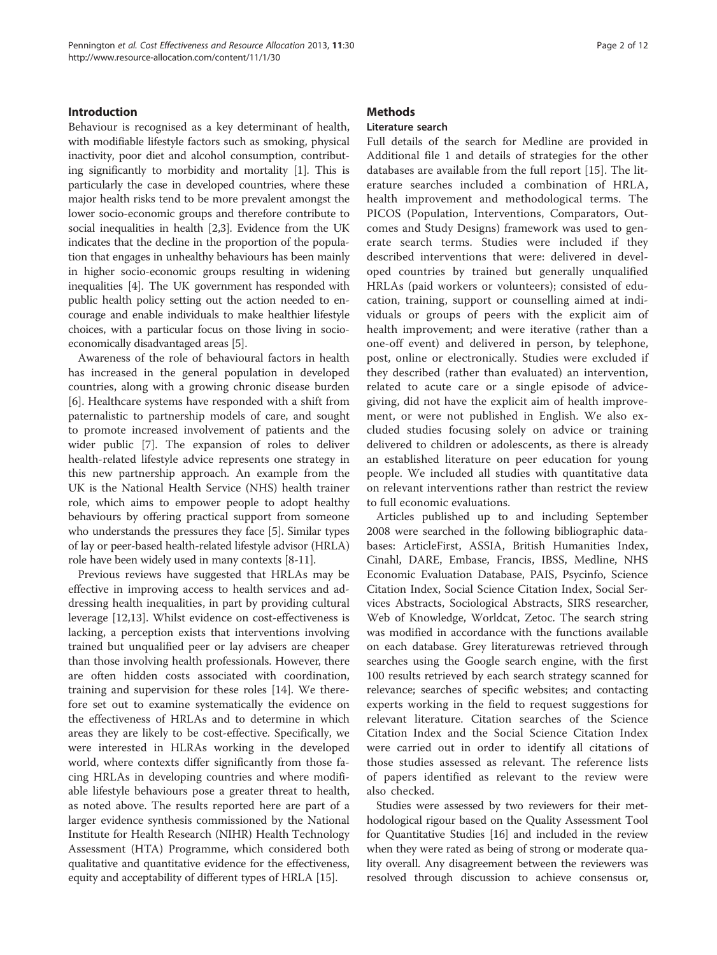#### Introduction

Behaviour is recognised as a key determinant of health, with modifiable lifestyle factors such as smoking, physical inactivity, poor diet and alcohol consumption, contributing significantly to morbidity and mortality [\[1\]](#page-9-0). This is particularly the case in developed countries, where these major health risks tend to be more prevalent amongst the lower socio-economic groups and therefore contribute to social inequalities in health [\[2,3\]](#page-9-0). Evidence from the UK indicates that the decline in the proportion of the population that engages in unhealthy behaviours has been mainly in higher socio-economic groups resulting in widening inequalities [\[4](#page-9-0)]. The UK government has responded with public health policy setting out the action needed to encourage and enable individuals to make healthier lifestyle choices, with a particular focus on those living in socioeconomically disadvantaged areas [\[5](#page-9-0)].

Awareness of the role of behavioural factors in health has increased in the general population in developed countries, along with a growing chronic disease burden [[6\]](#page-9-0). Healthcare systems have responded with a shift from paternalistic to partnership models of care, and sought to promote increased involvement of patients and the wider public [[7\]](#page-9-0). The expansion of roles to deliver health-related lifestyle advice represents one strategy in this new partnership approach. An example from the UK is the National Health Service (NHS) health trainer role, which aims to empower people to adopt healthy behaviours by offering practical support from someone who understands the pressures they face [[5\]](#page-9-0). Similar types of lay or peer-based health-related lifestyle advisor (HRLA) role have been widely used in many contexts [[8-11](#page-9-0)].

Previous reviews have suggested that HRLAs may be effective in improving access to health services and addressing health inequalities, in part by providing cultural leverage [\[12,13](#page-9-0)]. Whilst evidence on cost-effectiveness is lacking, a perception exists that interventions involving trained but unqualified peer or lay advisers are cheaper than those involving health professionals. However, there are often hidden costs associated with coordination, training and supervision for these roles [[14\]](#page-9-0). We therefore set out to examine systematically the evidence on the effectiveness of HRLAs and to determine in which areas they are likely to be cost-effective. Specifically, we were interested in HLRAs working in the developed world, where contexts differ significantly from those facing HRLAs in developing countries and where modifiable lifestyle behaviours pose a greater threat to health, as noted above. The results reported here are part of a larger evidence synthesis commissioned by the National Institute for Health Research (NIHR) Health Technology Assessment (HTA) Programme, which considered both qualitative and quantitative evidence for the effectiveness, equity and acceptability of different types of HRLA [[15](#page-9-0)].

#### **Methods**

#### Literature search

Full details of the search for Medline are provided in Additional file [1](#page-8-0) and details of strategies for the other databases are available from the full report [[15\]](#page-9-0). The literature searches included a combination of HRLA, health improvement and methodological terms. The PICOS (Population, Interventions, Comparators, Outcomes and Study Designs) framework was used to generate search terms. Studies were included if they described interventions that were: delivered in developed countries by trained but generally unqualified HRLAs (paid workers or volunteers); consisted of education, training, support or counselling aimed at individuals or groups of peers with the explicit aim of health improvement; and were iterative (rather than a one-off event) and delivered in person, by telephone, post, online or electronically. Studies were excluded if they described (rather than evaluated) an intervention, related to acute care or a single episode of advicegiving, did not have the explicit aim of health improvement, or were not published in English. We also excluded studies focusing solely on advice or training delivered to children or adolescents, as there is already an established literature on peer education for young people. We included all studies with quantitative data on relevant interventions rather than restrict the review to full economic evaluations.

Articles published up to and including September 2008 were searched in the following bibliographic databases: ArticleFirst, ASSIA, British Humanities Index, Cinahl, DARE, Embase, Francis, IBSS, Medline, NHS Economic Evaluation Database, PAIS, Psycinfo, Science Citation Index, Social Science Citation Index, Social Services Abstracts, Sociological Abstracts, SIRS researcher, Web of Knowledge, Worldcat, Zetoc. The search string was modified in accordance with the functions available on each database. Grey literaturewas retrieved through searches using the Google search engine, with the first 100 results retrieved by each search strategy scanned for relevance; searches of specific websites; and contacting experts working in the field to request suggestions for relevant literature. Citation searches of the Science Citation Index and the Social Science Citation Index were carried out in order to identify all citations of those studies assessed as relevant. The reference lists of papers identified as relevant to the review were also checked.

Studies were assessed by two reviewers for their methodological rigour based on the Quality Assessment Tool for Quantitative Studies [[16\]](#page-9-0) and included in the review when they were rated as being of strong or moderate quality overall. Any disagreement between the reviewers was resolved through discussion to achieve consensus or,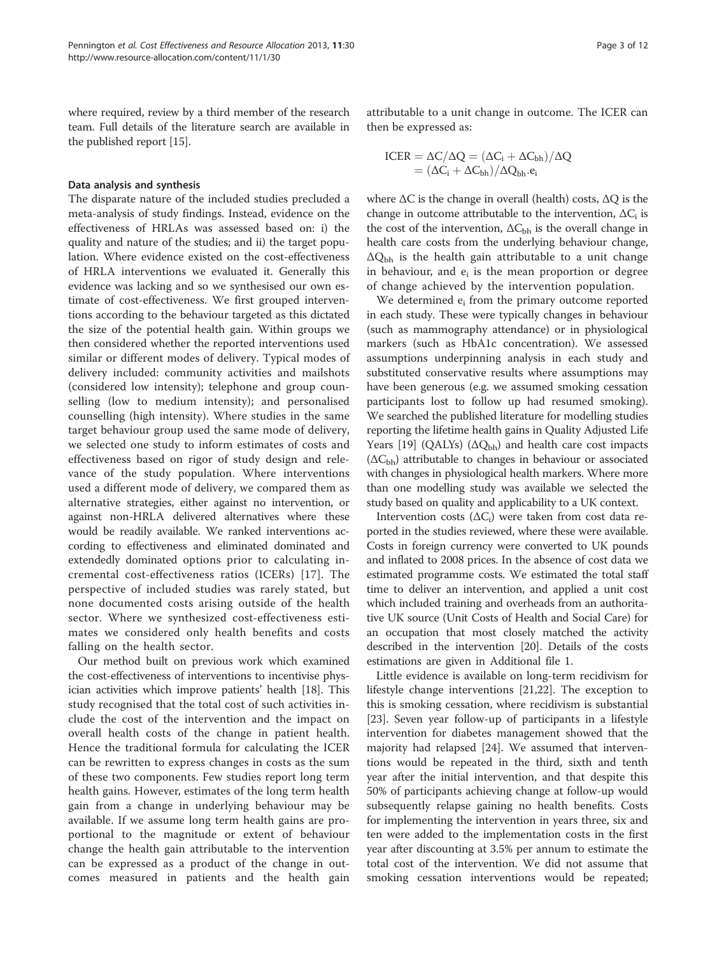<span id="page-3-0"></span>where required, review by a third member of the research team. Full details of the literature search are available in the published report [[15](#page-9-0)].

#### Data analysis and synthesis

The disparate nature of the included studies precluded a meta-analysis of study findings. Instead, evidence on the effectiveness of HRLAs was assessed based on: i) the quality and nature of the studies; and ii) the target population. Where evidence existed on the cost-effectiveness of HRLA interventions we evaluated it. Generally this evidence was lacking and so we synthesised our own estimate of cost-effectiveness. We first grouped interventions according to the behaviour targeted as this dictated the size of the potential health gain. Within groups we then considered whether the reported interventions used similar or different modes of delivery. Typical modes of delivery included: community activities and mailshots (considered low intensity); telephone and group counselling (low to medium intensity); and personalised counselling (high intensity). Where studies in the same target behaviour group used the same mode of delivery, we selected one study to inform estimates of costs and effectiveness based on rigor of study design and relevance of the study population. Where interventions used a different mode of delivery, we compared them as alternative strategies, either against no intervention, or against non-HRLA delivered alternatives where these would be readily available. We ranked interventions according to effectiveness and eliminated dominated and extendedly dominated options prior to calculating incremental cost-effectiveness ratios (ICERs) [[17](#page-9-0)]. The perspective of included studies was rarely stated, but none documented costs arising outside of the health sector. Where we synthesized cost-effectiveness estimates we considered only health benefits and costs falling on the health sector.

Our method built on previous work which examined the cost-effectiveness of interventions to incentivise physician activities which improve patients' health [[18](#page-9-0)]. This study recognised that the total cost of such activities include the cost of the intervention and the impact on overall health costs of the change in patient health. Hence the traditional formula for calculating the ICER can be rewritten to express changes in costs as the sum of these two components. Few studies report long term health gains. However, estimates of the long term health gain from a change in underlying behaviour may be available. If we assume long term health gains are proportional to the magnitude or extent of behaviour change the health gain attributable to the intervention can be expressed as a product of the change in outcomes measured in patients and the health gain attributable to a unit change in outcome. The ICER can then be expressed as:

$$
\begin{aligned} \text{ICER} &= \Delta C/\Delta Q = (\Delta C_i + \Delta C_{bh})/\Delta Q \\ &= (\Delta C_i + \Delta C_{bh})/\Delta Q_{bh}.e_i \end{aligned}
$$

where  $\Delta C$  is the change in overall (health) costs,  $\Delta Q$  is the change in outcome attributable to the intervention,  $\Delta C_{\rm i}$  is the cost of the intervention,  $\Delta C_{\text{bh}}$  is the overall change in health care costs from the underlying behaviour change,  $\Delta Q_{bh}$  is the health gain attributable to a unit change in behaviour, and  $e_i$  is the mean proportion or degree of change achieved by the intervention population.

We determined  $e_i$  from the primary outcome reported in each study. These were typically changes in behaviour (such as mammography attendance) or in physiological markers (such as HbA1c concentration). We assessed assumptions underpinning analysis in each study and substituted conservative results where assumptions may have been generous (e.g. we assumed smoking cessation participants lost to follow up had resumed smoking). We searched the published literature for modelling studies reporting the lifetime health gains in Quality Adjusted Life Years [[19](#page-9-0)] (QALYs) ( $\Delta Q_{bh}$ ) and health care cost impacts  $(\Delta C_{\text{bh}})$  attributable to changes in behaviour or associated with changes in physiological health markers. Where more than one modelling study was available we selected the study based on quality and applicability to a UK context.

Intervention costs  $(\Delta C_i)$  were taken from cost data reported in the studies reviewed, where these were available. Costs in foreign currency were converted to UK pounds and inflated to 2008 prices. In the absence of cost data we estimated programme costs. We estimated the total staff time to deliver an intervention, and applied a unit cost which included training and overheads from an authoritative UK source (Unit Costs of Health and Social Care) for an occupation that most closely matched the activity described in the intervention [[20](#page-9-0)]. Details of the costs estimations are given in Additional file [1](#page-8-0).

Little evidence is available on long-term recidivism for lifestyle change interventions [\[21,22](#page-9-0)]. The exception to this is smoking cessation, where recidivism is substantial [[23\]](#page-9-0). Seven year follow-up of participants in a lifestyle intervention for diabetes management showed that the majority had relapsed [\[24](#page-9-0)]. We assumed that interventions would be repeated in the third, sixth and tenth year after the initial intervention, and that despite this 50% of participants achieving change at follow-up would subsequently relapse gaining no health benefits. Costs for implementing the intervention in years three, six and ten were added to the implementation costs in the first year after discounting at 3.5% per annum to estimate the total cost of the intervention. We did not assume that smoking cessation interventions would be repeated;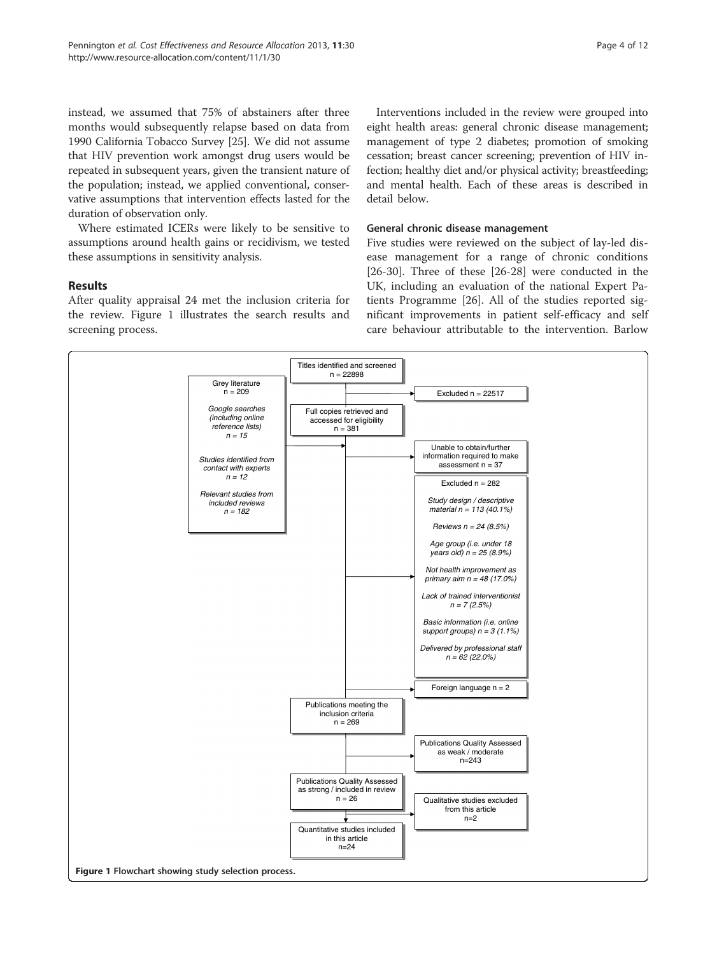instead, we assumed that 75% of abstainers after three months would subsequently relapse based on data from 1990 California Tobacco Survey [[25](#page-9-0)]. We did not assume that HIV prevention work amongst drug users would be repeated in subsequent years, given the transient nature of the population; instead, we applied conventional, conservative assumptions that intervention effects lasted for the duration of observation only.

Where estimated ICERs were likely to be sensitive to assumptions around health gains or recidivism, we tested these assumptions in sensitivity analysis.

#### Results

After quality appraisal 24 met the inclusion criteria for the review. Figure [1](#page-3-0) illustrates the search results and screening process.

Interventions included in the review were grouped into eight health areas: general chronic disease management; management of type 2 diabetes; promotion of smoking cessation; breast cancer screening; prevention of HIV infection; healthy diet and/or physical activity; breastfeeding; and mental health. Each of these areas is described in detail below.

#### General chronic disease management

Five studies were reviewed on the subject of lay-led disease management for a range of chronic conditions [[26-30](#page-9-0)]. Three of these [\[26-28](#page-9-0)] were conducted in the UK, including an evaluation of the national Expert Patients Programme [[26\]](#page-9-0). All of the studies reported significant improvements in patient self-efficacy and self care behaviour attributable to the intervention. Barlow

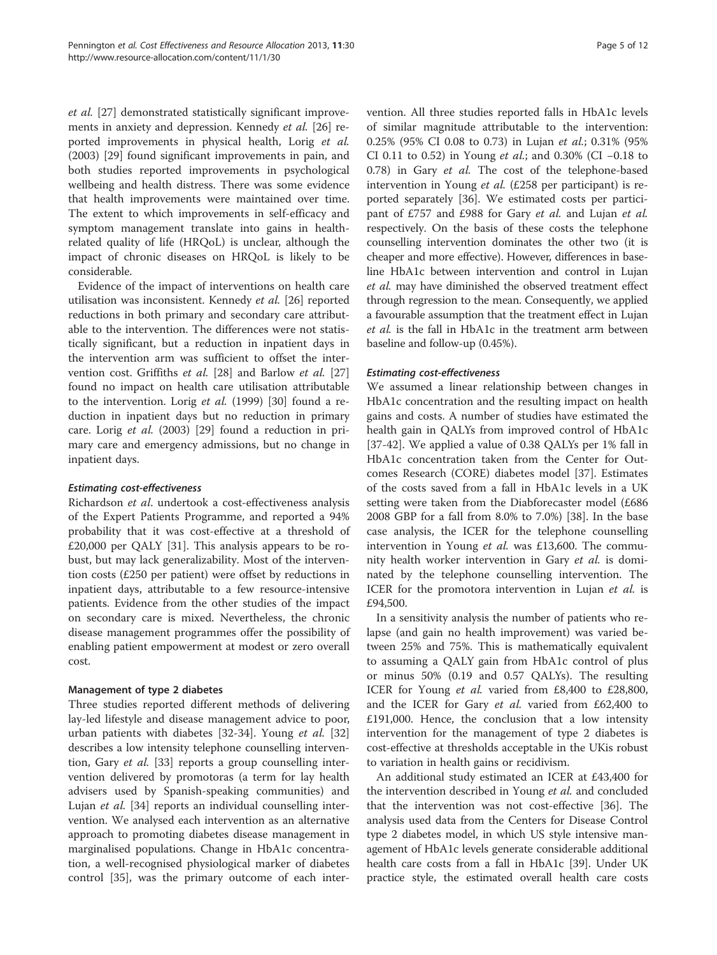<span id="page-5-0"></span>et al. [\[27\]](#page-9-0) demonstrated statistically significant improvements in anxiety and depression. Kennedy et al. [[26](#page-9-0)] reported improvements in physical health, Lorig et al. (2003) [\[29](#page-9-0)] found significant improvements in pain, and both studies reported improvements in psychological wellbeing and health distress. There was some evidence that health improvements were maintained over time. The extent to which improvements in self-efficacy and symptom management translate into gains in healthrelated quality of life (HRQoL) is unclear, although the impact of chronic diseases on HRQoL is likely to be considerable.

Evidence of the impact of interventions on health care utilisation was inconsistent. Kennedy et al. [\[26](#page-9-0)] reported reductions in both primary and secondary care attributable to the intervention. The differences were not statistically significant, but a reduction in inpatient days in the intervention arm was sufficient to offset the intervention cost. Griffiths et al. [\[28](#page-9-0)] and Barlow et al. [[27](#page-9-0)] found no impact on health care utilisation attributable to the intervention. Lorig et al. (1999) [[30\]](#page-9-0) found a reduction in inpatient days but no reduction in primary care. Lorig et al. (2003) [\[29](#page-9-0)] found a reduction in primary care and emergency admissions, but no change in inpatient days.

#### Estimating cost-effectiveness

Richardson et al. undertook a cost-effectiveness analysis of the Expert Patients Programme, and reported a 94% probability that it was cost-effective at a threshold of £20,000 per QALY [[31\]](#page-9-0). This analysis appears to be robust, but may lack generalizability. Most of the intervention costs (£250 per patient) were offset by reductions in inpatient days, attributable to a few resource-intensive patients. Evidence from the other studies of the impact on secondary care is mixed. Nevertheless, the chronic disease management programmes offer the possibility of enabling patient empowerment at modest or zero overall cost.

#### Management of type 2 diabetes

Three studies reported different methods of delivering lay-led lifestyle and disease management advice to poor, urban patients with diabetes [\[32](#page-9-0)-[34](#page-9-0)]. Young et al. [[32](#page-9-0)] describes a low intensity telephone counselling interven-tion, Gary et al. [\[33](#page-9-0)] reports a group counselling intervention delivered by promotoras (a term for lay health advisers used by Spanish-speaking communities) and Lujan et al. [\[34](#page-9-0)] reports an individual counselling intervention. We analysed each intervention as an alternative approach to promoting diabetes disease management in marginalised populations. Change in HbA1c concentration, a well-recognised physiological marker of diabetes control [\[35](#page-9-0)], was the primary outcome of each intervention. All three studies reported falls in HbA1c levels of similar magnitude attributable to the intervention: 0.25% (95% CI 0.08 to 0.73) in Lujan et al.; 0.31% (95% CI 0.11 to 0.52) in Young et al.; and 0.30% (CI −0.18 to 0.78) in Gary et al. The cost of the telephone-based intervention in Young *et al.* (£258 per participant) is reported separately [\[36\]](#page-9-0). We estimated costs per participant of £757 and £988 for Gary et al. and Lujan et al. respectively. On the basis of these costs the telephone counselling intervention dominates the other two (it is cheaper and more effective). However, differences in baseline HbA1c between intervention and control in Lujan et al. may have diminished the observed treatment effect through regression to the mean. Consequently, we applied a favourable assumption that the treatment effect in Lujan et al. is the fall in HbA1c in the treatment arm between baseline and follow-up (0.45%).

#### Estimating cost-effectiveness

We assumed a linear relationship between changes in HbA1c concentration and the resulting impact on health gains and costs. A number of studies have estimated the health gain in QALYs from improved control of HbA1c [[37-42](#page-9-0)]. We applied a value of 0.38 QALYs per 1% fall in HbA1c concentration taken from the Center for Outcomes Research (CORE) diabetes model [[37](#page-9-0)]. Estimates of the costs saved from a fall in HbA1c levels in a UK setting were taken from the Diabforecaster model (£686 2008 GBP for a fall from 8.0% to 7.0%) [[38\]](#page-9-0). In the base case analysis, the ICER for the telephone counselling intervention in Young et al. was £13,600. The community health worker intervention in Gary et al. is dominated by the telephone counselling intervention. The ICER for the promotora intervention in Lujan et al. is £94,500.

In a sensitivity analysis the number of patients who relapse (and gain no health improvement) was varied between 25% and 75%. This is mathematically equivalent to assuming a QALY gain from HbA1c control of plus or minus 50% (0.19 and 0.57 QALYs). The resulting ICER for Young et al. varied from £8,400 to £28,800, and the ICER for Gary *et al.* varied from £62,400 to £191,000. Hence, the conclusion that a low intensity intervention for the management of type 2 diabetes is cost-effective at thresholds acceptable in the UKis robust to variation in health gains or recidivism.

An additional study estimated an ICER at £43,400 for the intervention described in Young et al. and concluded that the intervention was not cost-effective [[36\]](#page-9-0). The analysis used data from the Centers for Disease Control type 2 diabetes model, in which US style intensive management of HbA1c levels generate considerable additional health care costs from a fall in HbA1c [\[39\]](#page-9-0). Under UK practice style, the estimated overall health care costs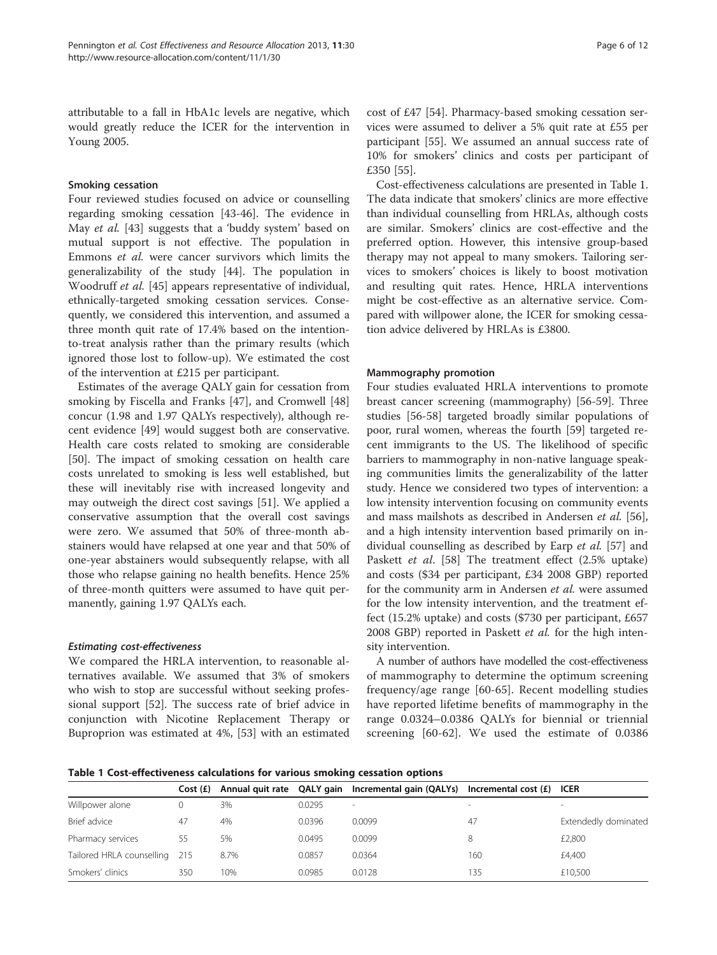<span id="page-6-0"></span>attributable to a fall in HbA1c levels are negative, which would greatly reduce the ICER for the intervention in Young 2005.

#### Smoking cessation

Four reviewed studies focused on advice or counselling regarding smoking cessation [\[43](#page-9-0)-[46\]](#page-10-0). The evidence in May et al. [[43](#page-9-0)] suggests that a 'buddy system' based on mutual support is not effective. The population in Emmons et al. were cancer survivors which limits the generalizability of the study [[44](#page-10-0)]. The population in Woodruff et al. [[45](#page-10-0)] appears representative of individual, ethnically-targeted smoking cessation services. Consequently, we considered this intervention, and assumed a three month quit rate of 17.4% based on the intentionto-treat analysis rather than the primary results (which ignored those lost to follow-up). We estimated the cost of the intervention at £215 per participant.

Estimates of the average QALY gain for cessation from smoking by Fiscella and Franks [[47\]](#page-10-0), and Cromwell [[48](#page-10-0)] concur (1.98 and 1.97 QALYs respectively), although recent evidence [\[49\]](#page-10-0) would suggest both are conservative. Health care costs related to smoking are considerable [[50\]](#page-10-0). The impact of smoking cessation on health care costs unrelated to smoking is less well established, but these will inevitably rise with increased longevity and may outweigh the direct cost savings [[51\]](#page-10-0). We applied a conservative assumption that the overall cost savings were zero. We assumed that 50% of three-month abstainers would have relapsed at one year and that 50% of one-year abstainers would subsequently relapse, with all those who relapse gaining no health benefits. Hence 25% of three-month quitters were assumed to have quit permanently, gaining 1.97 QALYs each.

#### Estimating cost-effectiveness

We compared the HRLA intervention, to reasonable alternatives available. We assumed that 3% of smokers who wish to stop are successful without seeking professional support [[52\]](#page-10-0). The success rate of brief advice in conjunction with Nicotine Replacement Therapy or Buproprion was estimated at 4%, [\[53\]](#page-10-0) with an estimated

cost of £47 [[54\]](#page-10-0). Pharmacy-based smoking cessation services were assumed to deliver a 5% quit rate at £55 per participant [[55\]](#page-10-0). We assumed an annual success rate of 10% for smokers' clinics and costs per participant of £350 [\[55](#page-10-0)].

Cost-effectiveness calculations are presented in Table [1](#page-5-0). The data indicate that smokers' clinics are more effective than individual counselling from HRLAs, although costs are similar. Smokers' clinics are cost-effective and the preferred option. However, this intensive group-based therapy may not appeal to many smokers. Tailoring services to smokers' choices is likely to boost motivation and resulting quit rates. Hence, HRLA interventions might be cost-effective as an alternative service. Compared with willpower alone, the ICER for smoking cessation advice delivered by HRLAs is £3800.

#### Mammography promotion

Four studies evaluated HRLA interventions to promote breast cancer screening (mammography) [[56-59](#page-10-0)]. Three studies [[56-58](#page-10-0)] targeted broadly similar populations of poor, rural women, whereas the fourth [\[59](#page-10-0)] targeted recent immigrants to the US. The likelihood of specific barriers to mammography in non-native language speaking communities limits the generalizability of the latter study. Hence we considered two types of intervention: a low intensity intervention focusing on community events and mass mailshots as described in Andersen et al. [\[56](#page-10-0)], and a high intensity intervention based primarily on in-dividual counselling as described by Earp et al. [\[57\]](#page-10-0) and Paskett et al. [[58\]](#page-10-0) The treatment effect (2.5% uptake) and costs (\$34 per participant, £34 2008 GBP) reported for the community arm in Andersen et al. were assumed for the low intensity intervention, and the treatment effect (15.2% uptake) and costs (\$730 per participant, £657 2008 GBP) reported in Paskett *et al.* for the high intensity intervention.

A number of authors have modelled the cost-effectiveness of mammography to determine the optimum screening frequency/age range [[60-65\]](#page-10-0). Recent modelling studies have reported lifetime benefits of mammography in the range 0.0324–0.0386 QALYs for biennial or triennial screening [[60-62\]](#page-10-0). We used the estimate of 0.0386

Table 1 Cost-effectiveness calculations for various smoking cessation options

| -                             |          |      |        |                                                                               |                          |                          |
|-------------------------------|----------|------|--------|-------------------------------------------------------------------------------|--------------------------|--------------------------|
|                               | Cost(f)  |      |        | Annual quit rate QALY gain Incremental gain (QALYs) Incremental cost (£) ICER |                          |                          |
| Willpower alone               | $\Omega$ | 3%   | 0.0295 | $\overline{\phantom{a}}$                                                      | $\overline{\phantom{a}}$ | $\overline{\phantom{a}}$ |
| Brief advice                  | 47       | 4%   | 0.0396 | 0.0099                                                                        | 47                       | Extendedly dominated     |
| Pharmacy services             | 55       | 5%   | 0.0495 | 0.0099                                                                        | 8                        | £2,800                   |
| Tailored HRLA counselling 215 |          | 8.7% | 0.0857 | 0.0364                                                                        | 160                      | £4,400                   |
| Smokers' clinics              | 350      | 10%  | 0.0985 | 0.0128                                                                        | 135                      | £10,500                  |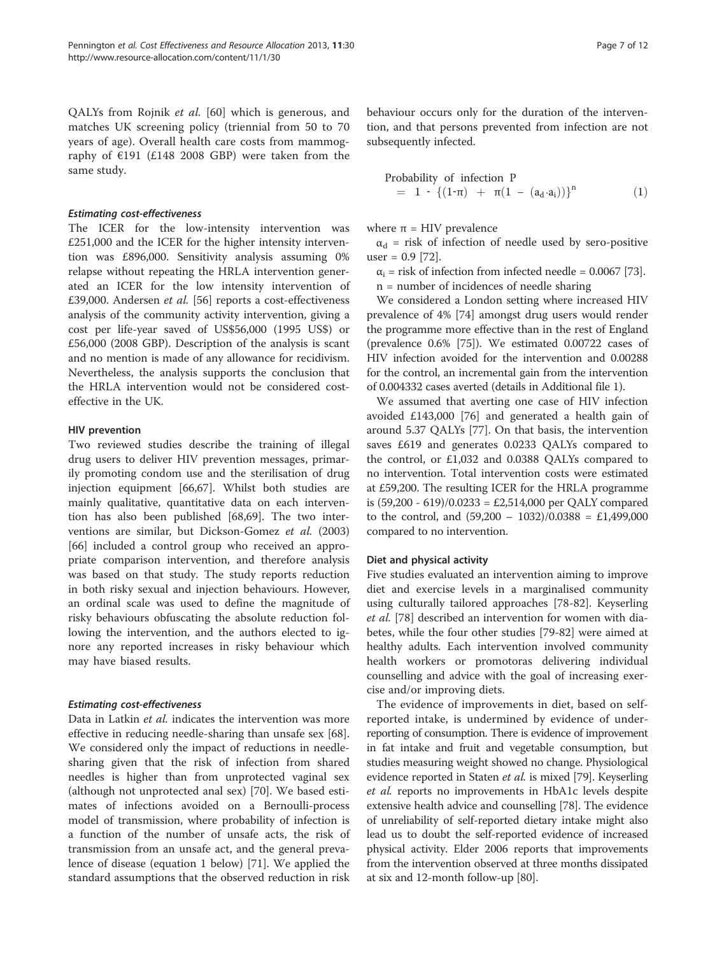QALYs from Rojnik et al. [[60\]](#page-10-0) which is generous, and matches UK screening policy (triennial from 50 to 70 years of age). Overall health care costs from mammography of €191 (£148 2008 GBP) were taken from the same study.

#### Estimating cost-effectiveness

The ICER for the low-intensity intervention was £251,000 and the ICER for the higher intensity intervention was £896,000. Sensitivity analysis assuming 0% relapse without repeating the HRLA intervention generated an ICER for the low intensity intervention of £39,000. Andersen et al. [\[56](#page-10-0)] reports a cost-effectiveness analysis of the community activity intervention, giving a cost per life-year saved of US\$56,000 (1995 US\$) or £56,000 (2008 GBP). Description of the analysis is scant and no mention is made of any allowance for recidivism. Nevertheless, the analysis supports the conclusion that the HRLA intervention would not be considered costeffective in the UK.

#### HIV prevention

Two reviewed studies describe the training of illegal drug users to deliver HIV prevention messages, primarily promoting condom use and the sterilisation of drug injection equipment [[66,67\]](#page-10-0). Whilst both studies are mainly qualitative, quantitative data on each intervention has also been published [[68](#page-10-0),[69](#page-10-0)]. The two interventions are similar, but Dickson-Gomez et al. (2003) [[66\]](#page-10-0) included a control group who received an appropriate comparison intervention, and therefore analysis was based on that study. The study reports reduction in both risky sexual and injection behaviours. However, an ordinal scale was used to define the magnitude of risky behaviours obfuscating the absolute reduction following the intervention, and the authors elected to ignore any reported increases in risky behaviour which may have biased results.

#### Estimating cost-effectiveness

Data in Latkin et al. indicates the intervention was more effective in reducing needle-sharing than unsafe sex [\[68](#page-10-0)]. We considered only the impact of reductions in needlesharing given that the risk of infection from shared needles is higher than from unprotected vaginal sex (although not unprotected anal sex) [\[70\]](#page-10-0). We based estimates of infections avoided on a Bernoulli-process model of transmission, where probability of infection is a function of the number of unsafe acts, the risk of transmission from an unsafe act, and the general prevalence of disease (equation [1](#page-6-0) below) [[71](#page-10-0)]. We applied the standard assumptions that the observed reduction in risk behaviour occurs only for the duration of the intervention, and that persons prevented from infection are not subsequently infected.

Probability of infection P  
= 1 - 
$$
\{(1-\pi) + \pi(1 - (a_d \cdot a_i))\}^n
$$
 (1)

where  $\pi$  = HIV prevalence

 $\alpha_d$  = risk of infection of needle used by sero-positive user =  $0.9$  [[72](#page-10-0)].

 $\alpha_i$  = risk of infection from infected needle = 0.0067 [[73](#page-10-0)].

n = number of incidences of needle sharing

We considered a London setting where increased HIV prevalence of 4% [[74](#page-10-0)] amongst drug users would render the programme more effective than in the rest of England (prevalence 0.6% [\[75](#page-10-0)]). We estimated 0.00722 cases of HIV infection avoided for the intervention and 0.00288 for the control, an incremental gain from the intervention of 0.004332 cases averted (details in Additional file [1](#page-8-0)).

We assumed that averting one case of HIV infection avoided £143,000 [[76\]](#page-10-0) and generated a health gain of around 5.37 QALYs [[77\]](#page-10-0). On that basis, the intervention saves £619 and generates 0.0233 QALYs compared to the control, or £1,032 and 0.0388 QALYs compared to no intervention. Total intervention costs were estimated at £59,200. The resulting ICER for the HRLA programme is (59,200 - 619)/0.0233 = £2,514,000 per QALY compared to the control, and  $(59,200 - 1032)/0.0388 = \text{\textsterling}1,499,000$ compared to no intervention.

#### Diet and physical activity

Five studies evaluated an intervention aiming to improve diet and exercise levels in a marginalised community using culturally tailored approaches [\[78-82](#page-10-0)]. Keyserling et al. [\[78](#page-10-0)] described an intervention for women with diabetes, while the four other studies [\[79](#page-10-0)-[82](#page-10-0)] were aimed at healthy adults. Each intervention involved community health workers or promotoras delivering individual counselling and advice with the goal of increasing exercise and/or improving diets.

The evidence of improvements in diet, based on selfreported intake, is undermined by evidence of underreporting of consumption. There is evidence of improvement in fat intake and fruit and vegetable consumption, but studies measuring weight showed no change. Physiological evidence reported in Staten et al. is mixed [\[79](#page-10-0)]. Keyserling et al. reports no improvements in HbA1c levels despite extensive health advice and counselling [[78](#page-10-0)]. The evidence of unreliability of self-reported dietary intake might also lead us to doubt the self-reported evidence of increased physical activity. Elder 2006 reports that improvements from the intervention observed at three months dissipated at six and 12-month follow-up [\[80](#page-10-0)].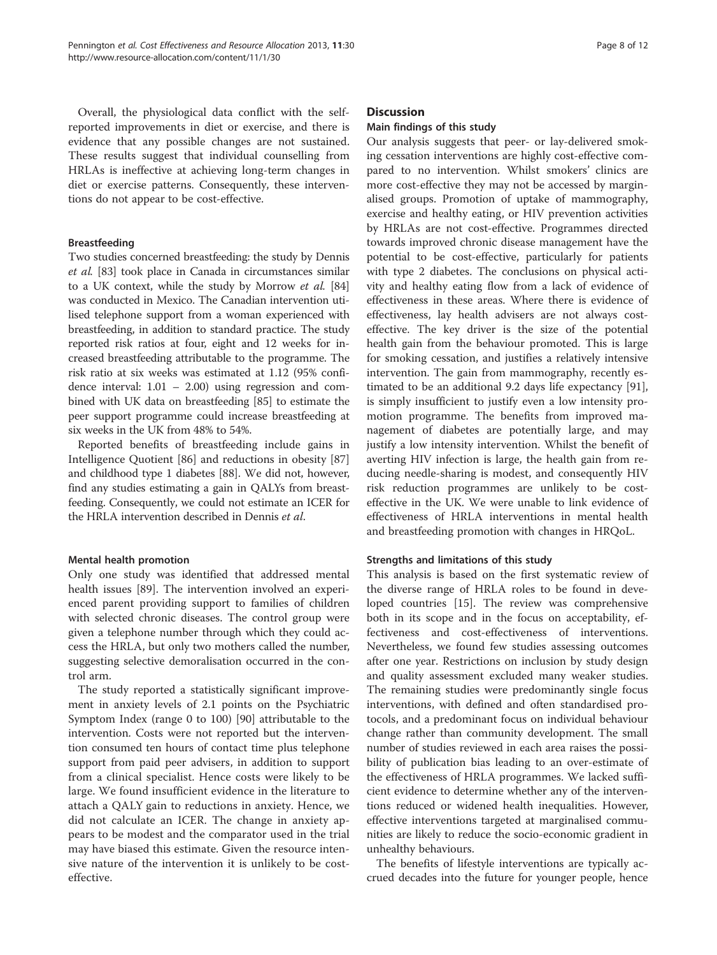<span id="page-8-0"></span>Overall, the physiological data conflict with the selfreported improvements in diet or exercise, and there is evidence that any possible changes are not sustained. These results suggest that individual counselling from HRLAs is ineffective at achieving long-term changes in diet or exercise patterns. Consequently, these interventions do not appear to be cost-effective.

#### Breastfeeding

Two studies concerned breastfeeding: the study by Dennis et al. [\[83\]](#page-10-0) took place in Canada in circumstances similar to a UK context, while the study by Morrow et al. [[84](#page-10-0)] was conducted in Mexico. The Canadian intervention utilised telephone support from a woman experienced with breastfeeding, in addition to standard practice. The study reported risk ratios at four, eight and 12 weeks for increased breastfeeding attributable to the programme. The risk ratio at six weeks was estimated at 1.12 (95% confidence interval: 1.01 – 2.00) using regression and combined with UK data on breastfeeding [[85](#page-10-0)] to estimate the peer support programme could increase breastfeeding at six weeks in the UK from 48% to 54%.

Reported benefits of breastfeeding include gains in Intelligence Quotient [\[86](#page-10-0)] and reductions in obesity [[87](#page-10-0)] and childhood type 1 diabetes [\[88\]](#page-10-0). We did not, however, find any studies estimating a gain in QALYs from breastfeeding. Consequently, we could not estimate an ICER for the HRLA intervention described in Dennis et al.

#### Mental health promotion

Only one study was identified that addressed mental health issues [[89](#page-10-0)]. The intervention involved an experienced parent providing support to families of children with selected chronic diseases. The control group were given a telephone number through which they could access the HRLA, but only two mothers called the number, suggesting selective demoralisation occurred in the control arm.

The study reported a statistically significant improvement in anxiety levels of 2.1 points on the Psychiatric Symptom Index (range 0 to 100) [\[90](#page-11-0)] attributable to the intervention. Costs were not reported but the intervention consumed ten hours of contact time plus telephone support from paid peer advisers, in addition to support from a clinical specialist. Hence costs were likely to be large. We found insufficient evidence in the literature to attach a QALY gain to reductions in anxiety. Hence, we did not calculate an ICER. The change in anxiety appears to be modest and the comparator used in the trial may have biased this estimate. Given the resource intensive nature of the intervention it is unlikely to be costeffective.

#### **Discussion**

#### Main findings of this study

Our analysis suggests that peer- or lay-delivered smoking cessation interventions are highly cost-effective compared to no intervention. Whilst smokers' clinics are more cost-effective they may not be accessed by marginalised groups. Promotion of uptake of mammography, exercise and healthy eating, or HIV prevention activities by HRLAs are not cost-effective. Programmes directed towards improved chronic disease management have the potential to be cost-effective, particularly for patients with type 2 diabetes. The conclusions on physical activity and healthy eating flow from a lack of evidence of effectiveness in these areas. Where there is evidence of effectiveness, lay health advisers are not always costeffective. The key driver is the size of the potential health gain from the behaviour promoted. This is large for smoking cessation, and justifies a relatively intensive intervention. The gain from mammography, recently estimated to be an additional 9.2 days life expectancy [\[91](#page-11-0)], is simply insufficient to justify even a low intensity promotion programme. The benefits from improved management of diabetes are potentially large, and may justify a low intensity intervention. Whilst the benefit of averting HIV infection is large, the health gain from reducing needle-sharing is modest, and consequently HIV risk reduction programmes are unlikely to be costeffective in the UK. We were unable to link evidence of effectiveness of HRLA interventions in mental health and breastfeeding promotion with changes in HRQoL.

#### Strengths and limitations of this study

This analysis is based on the first systematic review of the diverse range of HRLA roles to be found in developed countries [\[15](#page-9-0)]. The review was comprehensive both in its scope and in the focus on acceptability, effectiveness and cost-effectiveness of interventions. Nevertheless, we found few studies assessing outcomes after one year. Restrictions on inclusion by study design and quality assessment excluded many weaker studies. The remaining studies were predominantly single focus interventions, with defined and often standardised protocols, and a predominant focus on individual behaviour change rather than community development. The small number of studies reviewed in each area raises the possibility of publication bias leading to an over-estimate of the effectiveness of HRLA programmes. We lacked sufficient evidence to determine whether any of the interventions reduced or widened health inequalities. However, effective interventions targeted at marginalised communities are likely to reduce the socio-economic gradient in unhealthy behaviours.

The benefits of lifestyle interventions are typically accrued decades into the future for younger people, hence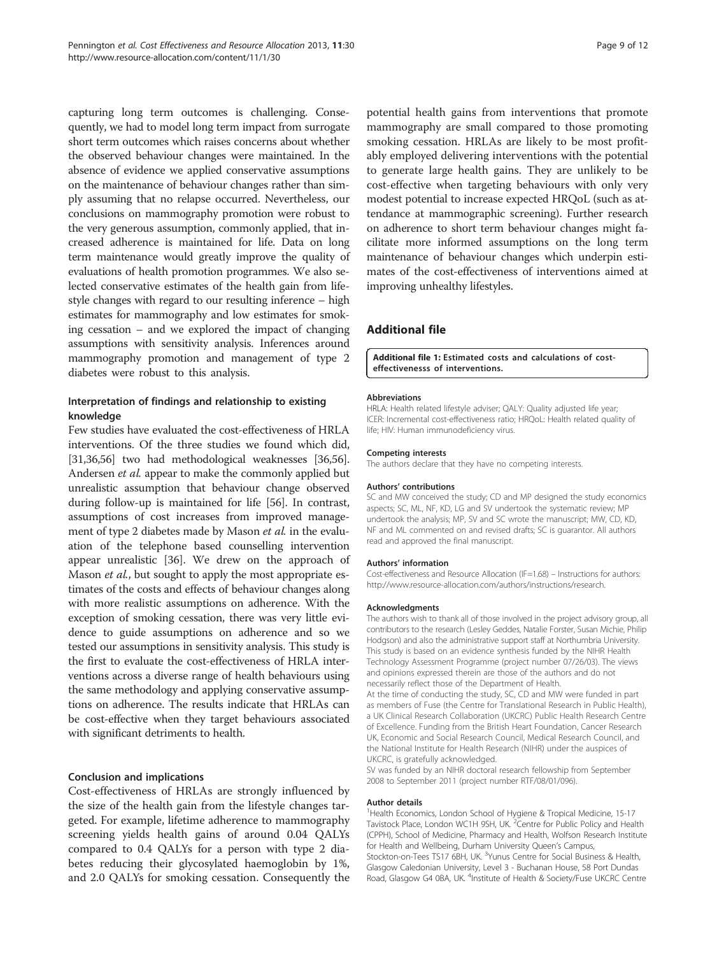<span id="page-9-0"></span>capturing long term outcomes is challenging. Consequently, we had to model long term impact from surrogate short term outcomes which raises concerns about whether the observed behaviour changes were maintained. In the absence of evidence we applied conservative assumptions on the maintenance of behaviour changes rather than simply assuming that no relapse occurred. Nevertheless, our conclusions on mammography promotion were robust to the very generous assumption, commonly applied, that increased adherence is maintained for life. Data on long term maintenance would greatly improve the quality of evaluations of health promotion programmes. We also selected conservative estimates of the health gain from lifestyle changes with regard to our resulting inference – high estimates for mammography and low estimates for smoking cessation – and we explored the impact of changing assumptions with sensitivity analysis. Inferences around mammography promotion and management of type 2 diabetes were robust to this analysis.

#### Interpretation of findings and relationship to existing knowledge

Few studies have evaluated the cost-effectiveness of HRLA interventions. Of the three studies we found which did, [31,36[,56\]](#page-10-0) two had methodological weaknesses [36,[56](#page-10-0)]. Andersen et al. appear to make the commonly applied but unrealistic assumption that behaviour change observed during follow-up is maintained for life [\[56\]](#page-10-0). In contrast, assumptions of cost increases from improved management of type 2 diabetes made by Mason *et al.* in the evaluation of the telephone based counselling intervention appear unrealistic [36]. We drew on the approach of Mason *et al.*, but sought to apply the most appropriate estimates of the costs and effects of behaviour changes along with more realistic assumptions on adherence. With the exception of smoking cessation, there was very little evidence to guide assumptions on adherence and so we tested our assumptions in sensitivity analysis. This study is the first to evaluate the cost-effectiveness of HRLA interventions across a diverse range of health behaviours using the same methodology and applying conservative assumptions on adherence. The results indicate that HRLAs can be cost-effective when they target behaviours associated with significant detriments to health.

#### Conclusion and implications

Cost-effectiveness of HRLAs are strongly influenced by the size of the health gain from the lifestyle changes targeted. For example, lifetime adherence to mammography screening yields health gains of around 0.04 QALYs compared to 0.4 QALYs for a person with type 2 diabetes reducing their glycosylated haemoglobin by 1%, and 2.0 QALYs for smoking cessation. Consequently the

potential health gains from interventions that promote mammography are small compared to those promoting smoking cessation. HRLAs are likely to be most profitably employed delivering interventions with the potential to generate large health gains. They are unlikely to be cost-effective when targeting behaviours with only very modest potential to increase expected HRQoL (such as attendance at mammographic screening). Further research on adherence to short term behaviour changes might facilitate more informed assumptions on the long term maintenance of behaviour changes which underpin estimates of the cost-effectiveness of interventions aimed at improving unhealthy lifestyles.

#### Additional file

#### [Additional file 1:](http://www.biomedcentral.com/content/supplementary/1478-7547-11-30-S1.docx) Estimated costs and calculations of costeffectivenesss of interventions.

#### Abbreviations

HRLA: Health related lifestyle adviser; QALY: Quality adjusted life year; ICER: Incremental cost-effectiveness ratio; HRQoL: Health related quality of life; HIV: Human immunodeficiency virus.

#### Competing interests

The authors declare that they have no competing interests.

#### Authors' contributions

SC and MW conceived the study; CD and MP designed the study economics aspects; SC, ML, NF, KD, LG and SV undertook the systematic review; MP undertook the analysis; MP, SV and SC wrote the manuscript; MW, CD, KD, NF and ML commented on and revised drafts; SC is guarantor. All authors read and approved the final manuscript.

#### Authors' information

Cost-effectiveness and Resource Allocation (IF=1.68) – Instructions for authors: <http://www.resource-allocation.com/authors/instructions/research>.

#### Acknowledgments

The authors wish to thank all of those involved in the project advisory group, all contributors to the research (Lesley Geddes, Natalie Forster, Susan Michie, Philip Hodgson) and also the administrative support staff at Northumbria University. This study is based on an evidence synthesis funded by the NIHR Health Technology Assessment Programme (project number 07/26/03). The views and opinions expressed therein are those of the authors and do not necessarily reflect those of the Department of Health.

At the time of conducting the study, SC, CD and MW were funded in part as members of Fuse (the Centre for Translational Research in Public Health), a UK Clinical Research Collaboration (UKCRC) Public Health Research Centre of Excellence. Funding from the British Heart Foundation, Cancer Research UK, Economic and Social Research Council, Medical Research Council, and the National Institute for Health Research (NIHR) under the auspices of UKCRC, is gratefully acknowledged.

SV was funded by an NIHR doctoral research fellowship from September 2008 to September 2011 (project number RTF/08/01/096).

#### Author details

<sup>1</sup>Health Economics, London School of Hygiene & Tropical Medicine, 15-17 Tavistock Place, London WC1H 9SH, UK. <sup>2</sup>Centre for Public Policy and Health (CPPH), School of Medicine, Pharmacy and Health, Wolfson Research Institute for Health and Wellbeing, Durham University Queen's Campus, Stockton-on-Tees TS17 6BH, UK. <sup>3</sup>Yunus Centre for Social Business & Health Glasgow Caledonian University, Level 3 - Buchanan House, 58 Port Dundas Road, Glasgow G4 0BA, UK. <sup>4</sup>Institute of Health & Society/Fuse UKCRC Centre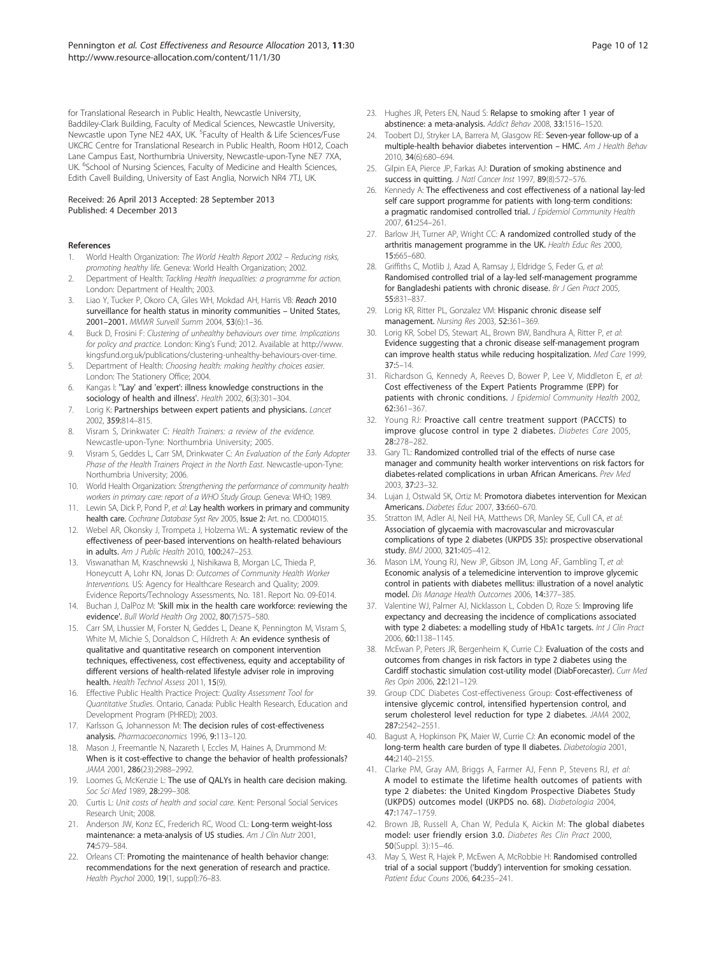<span id="page-10-0"></span>for Translational Research in Public Health, Newcastle University, Baddiley-Clark Building, Faculty of Medical Sciences, Newcastle University, Newcastle upon Tyne NE2 4AX, UK. <sup>5</sup>Faculty of Health & Life Sciences/Fuse UKCRC Centre for Translational Research in Public Health, Room H012, Coach Lane Campus East, Northumbria University, Newcastle-upon-Tyne NE7 7XA, UK. <sup>6</sup>School of Nursing Sciences, Faculty of Medicine and Health Sciences, Edith Cavell Building, University of East Anglia, Norwich NR4 7TJ, UK.

#### Received: 26 April 2013 Accepted: 28 September 2013 Published: 4 December 2013

#### References

- 1. World Health Organization: *The World Health Report 2002 Reducing risks, promoting healthy life.* Geneva: World Health Organization; 2002.
- 2. Department of Health: *Tackling Health Inequalities: a programme for action.* London: Department of Health; 2003.
- 3. Liao Y, Tucker P, Okoro CA, Giles WH, Mokdad AH, Harris VB: Reach 2010 surveillance for health status in minority communities – United States, 2001–2001. *MMWR Surveill Summ* 2004, 53(6):1–36.
- 4. Buck D, Frosini F: *Clustering of unhealthy behaviours over time. Implications for policy and practice.* London: King's Fund; 2012. Available at [http://www.](http://www.kingsfund.org.uk/publications/clustering-unhealthy-behaviours-over-time) [kingsfund.org.uk/publications/clustering-unhealthy-behaviours-over-time.](http://www.kingsfund.org.uk/publications/clustering-unhealthy-behaviours-over-time)
- 5. Department of Health: *Choosing health: making healthy choices easier.* London: The Stationery Office; 2004.
- Kangas I: "Lay' and 'expert': illness knowledge constructions in the sociology of health and illness'. *Health* 2002, 6(3):301–304.
- 7. Lorig K: Partnerships between expert patients and physicians. *Lancet* 2002, 359:814–815.
- 8. Visram S, Drinkwater C: *Health Trainers: a review of the evidence.* Newcastle-upon-Tyne: Northumbria University; 2005.
- 9. Visram S, Geddes L, Carr SM, Drinkwater C: *An Evaluation of the Early Adopter Phase of the Health Trainers Project in the North East.* Newcastle-upon-Tyne: Northumbria University; 2006.
- 10. World Health Organization: *Strengthening the performance of community health workers in primary care: report of a WHO Study Group.* Geneva: WHO; 1989.
- 11. Lewin SA, Dick P, Pond P, *et al*: Lay health workers in primary and community health care. *Cochrane Database Syst Rev* 2005, Issue 2: Art. no. CD004015.
- 12. Webel AR, Okonsky J, Trompeta J, Holzema WL: A systematic review of the effectiveness of peer-based interventions on health-related behaviours in adults. *Am J Public Health* 2010, 100:247–253.
- 13. Viswanathan M, Kraschnewski J, Nishikawa B, Morgan LC, Thieda P, Honeycutt A, Lohr KN, Jonas D: *Outcomes of Community Health Worker Interventions.* US: Agency for Healthcare Research and Quality; 2009. Evidence Reports/Technology Assessments, No. 181. Report No. 09-E014.
- 14. Buchan J, DalPoz M: 'Skill mix in the health care workforce: reviewing the evidence'. *Bull World Health Org* 2002, 80(7):575–580.
- 15. Carr SM, Lhussier M, Forster N, Geddes L, Deane K, Pennington M, Visram S, White M, Michie S, Donaldson C, Hildreth A: An evidence synthesis of qualitative and quantitative research on component intervention techniques, effectiveness, cost effectiveness, equity and acceptability of different versions of health-related lifestyle adviser role in improving health. *Health Technol Assess* 2011, 15(9).
- 16. Effective Public Health Practice Project: *Quality Assessment Tool for Quantitative Studies.* Ontario, Canada: Public Health Research, Education and Development Program (PHRED); 2003.
- 17. Karlsson G, Johannesson M: The decision rules of cost-effectiveness analysis. *Pharmacoeconomics* 1996, 9:113–120.
- 18. Mason J, Freemantle N, Nazareth I, Eccles M, Haines A, Drummond M: When is it cost-effective to change the behavior of health professionals? *JAMA* 2001, 286(23):2988–2992.
- 19. Loomes G, McKenzie L: The use of QALYs in health care decision making. *Soc Sci Med* 1989, 28:299–308.
- 20. Curtis L: *Unit costs of health and social care.* Kent: Personal Social Services Research Unit; 2008.
- 21. Anderson JW, Konz EC, Frederich RC, Wood CL: Long-term weight-loss maintenance: a meta-analysis of US studies. *Am J Clin Nutr* 2001, 74:579–584.
- 22. Orleans CT: Promoting the maintenance of health behavior change: recommendations for the next generation of research and practice. *Health Psychol* 2000, 19(1, suppl):76–83.
- 23. Hughes JR, Peters EN, Naud S: Relapse to smoking after 1 year of abstinence: a meta-analysis. *Addict Behav* 2008, 33:1516–1520.
- 24. Toobert DJ, Stryker LA, Barrera M, Glasgow RE: Seven-year follow-up of a multiple-health behavior diabetes intervention – HMC. *Am J Health Behav* 2010, 34(6):680–694.
- 25. Gilpin EA, Pierce JP, Farkas AJ: Duration of smoking abstinence and success in quitting. *J Natl Cancer Inst* 1997, 89(8):572–576.
- 26. Kennedy A: The effectiveness and cost effectiveness of a national lay-led self care support programme for patients with long-term conditions: a pragmatic randomised controlled trial. *J Epidemiol Community Health* 2007, 61:254–261.
- 27. Barlow JH, Turner AP, Wright CC: A randomized controlled study of the arthritis management programme in the UK. *Health Educ Res* 2000, 15:665–680.
- 28. Griffiths C, Motlib J, Azad A, Ramsay J, Eldridge S, Feder G, *et al*: Randomised controlled trial of a lay-led self-management programme for Bangladeshi patients with chronic disease. *Br J Gen Pract* 2005, 55:831–837.
- 29. Lorig KR, Ritter PL, Gonzalez VM: Hispanic chronic disease self management. *Nursing Res* 2003, 52:361–369.
- 30. Lorig KR, Sobel DS, Stewart AL, Brown BW, Bandhura A, Ritter P, *et al*: Evidence suggesting that a chronic disease self-management program can improve health status while reducing hospitalization. *Med Care* 1999, 37:5–14.
- 31. Richardson G, Kennedy A, Reeves D, Bower P, Lee V, Middleton E, *et al*: Cost effectiveness of the Expert Patients Programme (EPP) for patients with chronic conditions. *J Epidemiol Community Health* 2002, 62:361–367.
- 32. Young RJ: Proactive call centre treatment support (PACCTS) to improve glucose control in type 2 diabetes. *Diabetes Care* 2005, 28:278–282.
- 33. Gary TL: Randomized controlled trial of the effects of nurse case manager and community health worker interventions on risk factors for diabetes-related complications in urban African Americans. *Prev Med* 2003, 37:23–32.
- 34. Lujan J, Ostwald SK, Ortiz M: Promotora diabetes intervention for Mexican Americans. *Diabetes Educ* 2007, 33:660–670.
- 35. Stratton IM, Adler AI, Neil HA, Matthews DR, Manley SE, Cull CA, *et al*: Association of glycaemia with macrovascular and microvascular complications of type 2 diabetes (UKPDS 35): prospective observational study. *BMJ* 2000, 321:405–412.
- 36. Mason LM, Young RJ, New JP, Gibson JM, Long AF, Gambling T, *et al*: Economic analysis of a telemedicine intervention to improve glycemic control in patients with diabetes mellitus: illustration of a novel analytic model. *Dis Manage Health Outcomes* 2006, 14:377–385.
- 37. Valentine WJ, Palmer AJ, Nicklasson L, Cobden D, Roze S: Improving life expectancy and decreasing the incidence of complications associated with type 2 diabetes: a modelling study of HbA1c targets. *Int J Clin Pract* 2006, 60:1138–1145.
- 38. McEwan P, Peters JR, Bergenheim K, Currie CJ: Evaluation of the costs and outcomes from changes in risk factors in type 2 diabetes using the Cardiff stochastic simulation cost-utility model (DiabForecaster). *Curr Med Res Opin* 2006, 22:121–129.
- 39. Group CDC Diabetes Cost-effectiveness Group: Cost-effectiveness of intensive glycemic control, intensified hypertension control, and serum cholesterol level reduction for type 2 diabetes. *JAMA* 2002, 287:2542–2551.
- 40. Bagust A, Hopkinson PK, Maier W, Currie CJ: An economic model of the long-term health care burden of type II diabetes. *Diabetologia* 2001, 44:2140–2155.
- 41. Clarke PM, Gray AM, Briggs A, Farmer AJ, Fenn P, Stevens RJ, *et al*: A model to estimate the lifetime health outcomes of patients with type 2 diabetes: the United Kingdom Prospective Diabetes Study (UKPDS) outcomes model (UKPDS no. 68). *Diabetologia* 2004, 47:1747–1759.
- 42. Brown JB, Russell A, Chan W, Pedula K, Aickin M: The global diabetes model: user friendly ersion 3.0. *Diabetes Res Clin Pract* 2000, 50(Suppl. 3):15–46.
- 43. May S, West R, Hajek P, McEwen A, McRobbie H: Randomised controlled trial of a social support ('buddy') intervention for smoking cessation. *Patient Educ Couns* 2006, 64:235–241.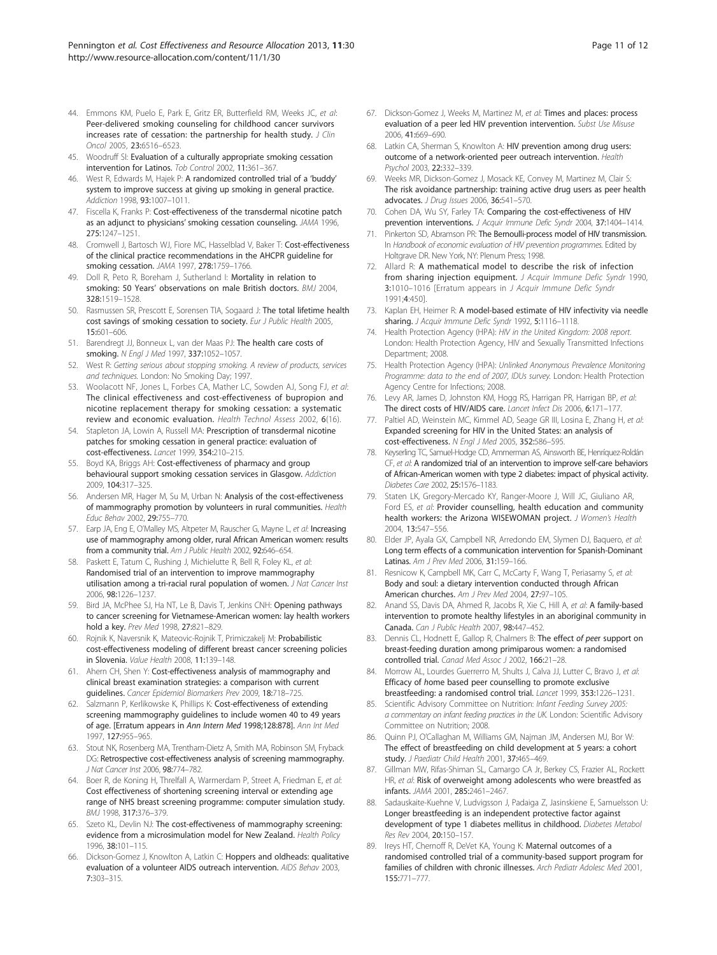- <span id="page-11-0"></span>44. Emmons KM, Puelo E, Park E, Gritz ER, Butterfield RM, Weeks JC, *et al*: Peer-delivered smoking counseling for childhood cancer survivors increases rate of cessation: the partnership for health study. *J Clin Oncol* 2005, 23:6516–6523.
- 45. Woodruff SI: Evaluation of a culturally appropriate smoking cessation intervention for Latinos. *Tob Control* 2002, 11:361–367.
- 46. West R, Edwards M, Hajek P: A randomized controlled trial of a 'buddy' system to improve success at giving up smoking in general practice. *Addiction* 1998, 93:1007–1011.
- 47. Fiscella K, Franks P: Cost-effectiveness of the transdermal nicotine patch as an adjunct to physicians' smoking cessation counseling. *JAMA* 1996, 275:1247–1251.
- 48. Cromwell J, Bartosch WJ, Fiore MC, Hasselblad V, Baker T: Cost-effectiveness of the clinical practice recommendations in the AHCPR guideline for smoking cessation. *JAMA* 1997, 278:1759–1766.
- 49. Doll R, Peto R, Boreham J, Sutherland I: Mortality in relation to smoking: 50 Years' observations on male British doctors. *BMJ* 2004, 328:1519–1528.
- 50. Rasmussen SR, Prescott E, Sorensen TIA, Sogaard J: The total lifetime health cost savings of smoking cessation to society. *Eur J Public Health* 2005, 15:601–606.
- 51. Barendregt JJ, Bonneux L, van der Maas PJ: The health care costs of smoking. *N Engl J Med* 1997, 337:1052–1057.
- 52. West R: *Getting serious about stopping smoking. A review of products, services and techniques.* London: No Smoking Day; 1997.
- 53. Woolacott NF, Jones L, Forbes CA, Mather LC, Sowden AJ, Song FJ, *et al*: The clinical effectiveness and cost-effectiveness of bupropion and nicotine replacement therapy for smoking cessation: a systematic review and economic evaluation. *Health Technol Assess* 2002, 6(16).
- 54. Stapleton JA, Lowin A, Russell MA: Prescription of transdermal nicotine patches for smoking cessation in general practice: evaluation of cost-effectiveness. *Lancet* 1999, 354:210–215.
- 55. Boyd KA, Briggs AH: Cost-effectiveness of pharmacy and group behavioural support smoking cessation services in Glasgow. *Addiction* 2009, 104:317–325.
- 56. Andersen MR, Hager M, Su M, Urban N: Analysis of the cost-effectiveness of mammography promotion by volunteers in rural communities. *Health Educ Behav* 2002, 29:755–770.
- 57. Earp JA, Eng E, O'Malley MS, Altpeter M, Rauscher G, Mayne L, *et al*: Increasing use of mammography among older, rural African American women: results from a community trial. *Am J Public Health* 2002, 92:646–654.
- 58. Paskett E, Tatum C, Rushing J, Michielutte R, Bell R, Foley KL, *et al*: Randomised trial of an intervention to improve mammography utilisation among a tri-racial rural population of women. *J Nat Cancer Inst* 2006, 98:1226–1237.
- 59. Bird JA, McPhee SJ, Ha NT, Le B, Davis T, Jenkins CNH: Opening pathways to cancer screening for Vietnamese-American women: lay health workers hold a key. *Prev Med* 1998, 27:821–829.
- 60. Rojnik K, Naversnik K, Mateovic-Rojnik T, Primiczakelj M: Probabilistic cost-effectiveness modeling of different breast cancer screening policies in Slovenia. *Value Health* 2008, 11:139–148.
- 61. Ahern CH, Shen Y: Cost-effectiveness analysis of mammography and clinical breast examination strategies: a comparison with current guidelines. *Cancer Epidemiol Biomarkers Prev* 2009, 18:718–725.
- 62. Salzmann P, Kerlikowske K, Phillips K: Cost-effectiveness of extending screening mammography guidelines to include women 40 to 49 years of age. [Erratum appears in Ann Intern Med 1998;128:878]. *Ann Int Med* 1997, 127:955–965.
- 63. Stout NK, Rosenberg MA, Trentham-Dietz A, Smith MA, Robinson SM, Fryback DG: Retrospective cost-effectiveness analysis of screening mammography. *J Nat Cancer Inst* 2006, 98:774–782.
- 64. Boer R, de Koning H, Threlfall A, Warmerdam P, Street A, Friedman E, *et al*: Cost effectiveness of shortening screening interval or extending age range of NHS breast screening programme: computer simulation study. *BMJ* 1998, 317:376–379.
- 65. Szeto KL, Devlin NJ: The cost-effectiveness of mammography screening: evidence from a microsimulation model for New Zealand. *Health Policy* 1996, 38:101–115.
- 66. Dickson-Gomez J, Knowlton A, Latkin C: Hoppers and oldheads: qualitative evaluation of a volunteer AIDS outreach intervention. *AIDS Behav* 2003, 7:303–315.
- 67. Dickson-Gomez J, Weeks M, Martinez M, *et al*: Times and places: process evaluation of a peer led HIV prevention intervention. *Subst Use Misuse* 2006, 41:669–690.
- 68. Latkin CA, Sherman S, Knowlton A: HIV prevention among drug users: outcome of a network-oriented peer outreach intervention. *Health Psychol* 2003, 22:332–339.
- 69. Weeks MR, Dickson-Gomez J, Mosack KE, Convey M, Martinez M, Clair S: The risk avoidance partnership: training active drug users as peer health advocates. *J Drug Issues* 2006, 36:541–570.
- 70. Cohen DA, Wu SY, Farley TA: Comparing the cost-effectiveness of HIV prevention interventions. *J Acquir Immune Defic Syndr* 2004, 37:1404–1414.
- 71. Pinkerton SD, Abramson PR: The Bernoulli-process model of HIV transmission. In *Handbook of economic evaluation of HIV prevention programmes.* Edited by Holtgrave DR. New York, NY: Plenum Press; 1998.
- 72. Allard R: A mathematical model to describe the risk of infection from sharing injection equipment. *J Acquir Immune Defic Syndr* 1990, 3:1010–1016 [Erratum appears in *J Acquir Immune Defic Syndr* 1991;4:450].
- 73. Kaplan EH, Heimer R: A model-based estimate of HIV infectivity via needle sharing. *J Acquir Immune Defic Syndr* 1992, 5:1116–1118.
- 74. Health Protection Agency (HPA): *HIV in the United Kingdom: 2008 report.* London: Health Protection Agency, HIV and Sexually Transmitted Infections Department; 2008.
- 75. Health Protection Agency (HPA): *Unlinked Anonymous Prevalence Monitoring Programme: data to the end of 2007, IDUs survey.* London: Health Protection Agency Centre for Infections; 2008.
- 76. Levy AR, James D, Johnston KM, Hogg RS, Harrigan PR, Harrigan BP, *et al*: The direct costs of HIV/AIDS care. *Lancet Infect Dis* 2006, 6:171–177.
- 77. Paltiel AD, Weinstein MC, Kimmel AD, Seage GR III, Losina E, Zhang H, *et al*: Expanded screening for HIV in the United States: an analysis of cost-effectiveness. *N Engl J Med* 2005, 352:586–595.
- 78. Keyserling TC, Samuel-Hodge CD, Ammerman AS, Ainsworth BE, Henríquez-Roldán CF, *et al*: A randomized trial of an intervention to improve self-care behaviors of African-American women with type 2 diabetes: impact of physical activity. *Diabetes Care* 2002, 25:1576–1183.
- 79. Staten LK, Gregory-Mercado KY, Ranger-Moore J, Will JC, Giuliano AR, Ford ES, *et al*: Provider counselling, health education and community health workers: the Arizona WISEWOMAN project. *J Women*'*s Health* 2004, 13:547–556.
- 80. Elder JP, Ayala GX, Campbell NR, Arredondo EM, Slymen DJ, Baquero, *et al*: Long term effects of a communication intervention for Spanish-Dominant Latinas. *Am J Prev Med* 2006, 31:159–166.
- 81. Resnicow K, Campbell MK, Carr C, McCarty F, Wang T, Periasamy S, *et al*: Body and soul: a dietary intervention conducted through African American churches. *Am J Prev Med* 2004, 27:97–105.
- 82. Anand SS, Davis DA, Ahmed R, Jacobs R, Xie C, Hill A, *et al*: A family-based intervention to promote healthy lifestyles in an aboriginal community in Canada. *Can J Public Health* 2007, 98:447–452.
- 83. Dennis CL, Hodnett E, Gallop R, Chalmers B: The effect of peer support on breast-feeding duration among primiparous women: a randomised controlled trial. *Canad Med Assoc J* 2002, 166:21–28.
- 84. Morrow AL, Lourdes Guerrerro M, Shults J, Calva JJ, Lutter C, Bravo J, *et al*: Efficacy of home based peer counselling to promote exclusive breastfeeding: a randomised control trial. *Lancet* 1999, 353:1226–1231.
- 85. Scientific Advisory Committee on Nutrition: *Infant Feeding Survey 2005: a commentary on infant feeding practices in the UK.* London: Scientific Advisory Committee on Nutrition; 2008.
- Quinn PJ, O'Callaghan M, Williams GM, Najman JM, Andersen MJ, Bor W: The effect of breastfeeding on child development at 5 years: a cohort study. *J Paediatr Child Health* 2001, 37:465–469.
- 87. Gillman MW, Rifas-Shiman SL, Camargo CA Jr, Berkey CS, Frazier AL, Rockett HR, *et al*: Risk of overweight among adolescents who were breastfed as infants. *JAMA* 2001, 285:2461–2467.
- 88. Sadauskaite-Kuehne V, Ludvigsson J, Padaiga Z, Jasinskiene E, Samuelsson U: Longer breastfeeding is an independent protective factor against development of type 1 diabetes mellitus in childhood. *Diabetes Metabol Res Rev* 2004, 20:150–157.
- Ireys HT, Chernoff R, DeVet KA, Young K: Maternal outcomes of a randomised controlled trial of a community-based support program for families of children with chronic illnesses. *Arch Pediatr Adolesc Med* 2001, 155:771–777.